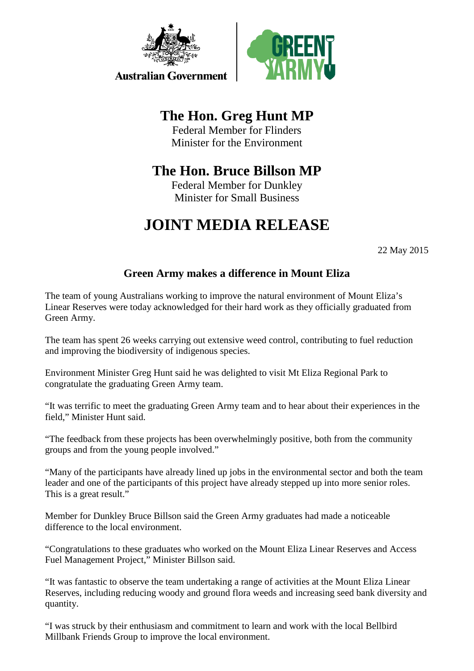

**Australian Government** 



# **The Hon. Greg Hunt MP**

Federal Member for Flinders Minister for the Environment

## **The Hon. Bruce Billson MP**

Federal Member for Dunkley Minister for Small Business

# **JOINT MEDIA RELEASE**

22 May 2015

### **Green Army makes a difference in Mount Eliza**

The team of young Australians working to improve the natural environment of Mount Eliza's Linear Reserves were today acknowledged for their hard work as they officially graduated from Green Army.

The team has spent 26 weeks carrying out extensive weed control, contributing to fuel reduction and improving the biodiversity of indigenous species.

Environment Minister Greg Hunt said he was delighted to visit Mt Eliza Regional Park to congratulate the graduating Green Army team.

"It was terrific to meet the graduating Green Army team and to hear about their experiences in the field," Minister Hunt said.

"The feedback from these projects has been overwhelmingly positive, both from the community groups and from the young people involved."

"Many of the participants have already lined up jobs in the environmental sector and both the team leader and one of the participants of this project have already stepped up into more senior roles. This is a great result."

Member for Dunkley Bruce Billson said the Green Army graduates had made a noticeable difference to the local environment.

"Congratulations to these graduates who worked on the Mount Eliza Linear Reserves and Access Fuel Management Project," Minister Billson said.

"It was fantastic to observe the team undertaking a range of activities at the Mount Eliza Linear Reserves, including reducing woody and ground flora weeds and increasing seed bank diversity and quantity.

"I was struck by their enthusiasm and commitment to learn and work with the local Bellbird Millbank Friends Group to improve the local environment.